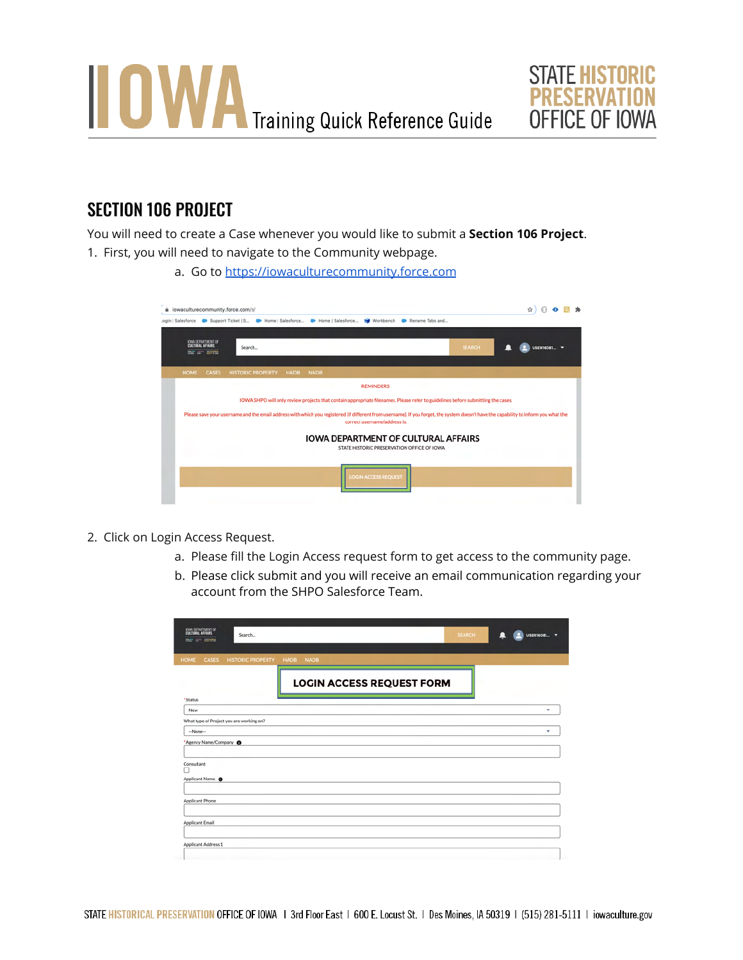



## SECTION 106 PROJECT

You will need to create a Case whenever you would like to submit a **Section 106 Project**.

- 1. First, you will need to navigate to the Community webpage.
	- a. Go to <https://iowaculturecommunity.force.com>

| à iowaculturecommunity.force.com/s/                                  |              |                          |      |                                                                                                                                                                                                                      |               | ☆           |
|----------------------------------------------------------------------|--------------|--------------------------|------|----------------------------------------------------------------------------------------------------------------------------------------------------------------------------------------------------------------------|---------------|-------------|
|                                                                      |              |                          |      | .ogin   Salesforce D Support Ticket   S., D Home   Salesforce D Home   Salesforce In Workbench D Rename Tabs and                                                                                                     |               |             |
| <b>DWA DEPARTMENT OF</b><br>CULTURAL AFFAIRS<br><b>BC or William</b> |              | Search                   |      |                                                                                                                                                                                                                      | <b>SEARCH</b> | USER16081 V |
| <b>HOME</b>                                                          | <b>CASES</b> | <b>HISTORIC PROPERTY</b> | HADB | <b>NADB</b>                                                                                                                                                                                                          |               |             |
|                                                                      |              |                          |      | <b>REMINDERS</b>                                                                                                                                                                                                     |               |             |
|                                                                      |              |                          |      | IOWA SHPO will only review projects that contain appropriate filenames. Please refer to guidelines before submitting the cases.                                                                                      |               |             |
|                                                                      |              |                          |      | Please save your username and the email address with which you registered (if different from username). If you forget, the system doesn't have the capability to inform you what the<br>correct username/address is. |               |             |
|                                                                      |              |                          |      | <b>IOWA DEPARTMENT OF CULTURAL AFFAIRS</b><br>STATE HISTORIC PRESERVATION OFFICE OF IOWA                                                                                                                             |               |             |
|                                                                      |              |                          |      | <b>LOGIN ACCESS REQUEST</b>                                                                                                                                                                                          |               |             |

- 2. Click on Login Access Request.
	- a. Please fill the Login Access request form to get access to the community page.
	- b. Please click submit and you will receive an email communication regarding your account from the SHPO Salesforce Team.

| <b>JOIN DEPARTMENT OF</b><br>CULTURAL AFFAIRS<br>Search<br>me ar sava | <b>SEARCH</b><br>USER16081 -<br>ш |  |
|-----------------------------------------------------------------------|-----------------------------------|--|
| <b>HOME</b><br><b>CASES</b><br><b>HISTORIC PROPERTY</b>               | <b>HADB</b><br><b>NADB</b>        |  |
|                                                                       | <b>LOGIN ACCESS REQUEST FORM</b>  |  |
| * Status                                                              |                                   |  |
| New                                                                   | ٠                                 |  |
| What type of Project you are working on?                              |                                   |  |
| $-None-$                                                              | ٠                                 |  |
| * Agency Name/Company @                                               |                                   |  |
| Consultant<br>Applicant Name <sup>O</sup>                             |                                   |  |
| Applicant Phone                                                       |                                   |  |
| Applicant Email                                                       |                                   |  |
| Applicant Address 1                                                   |                                   |  |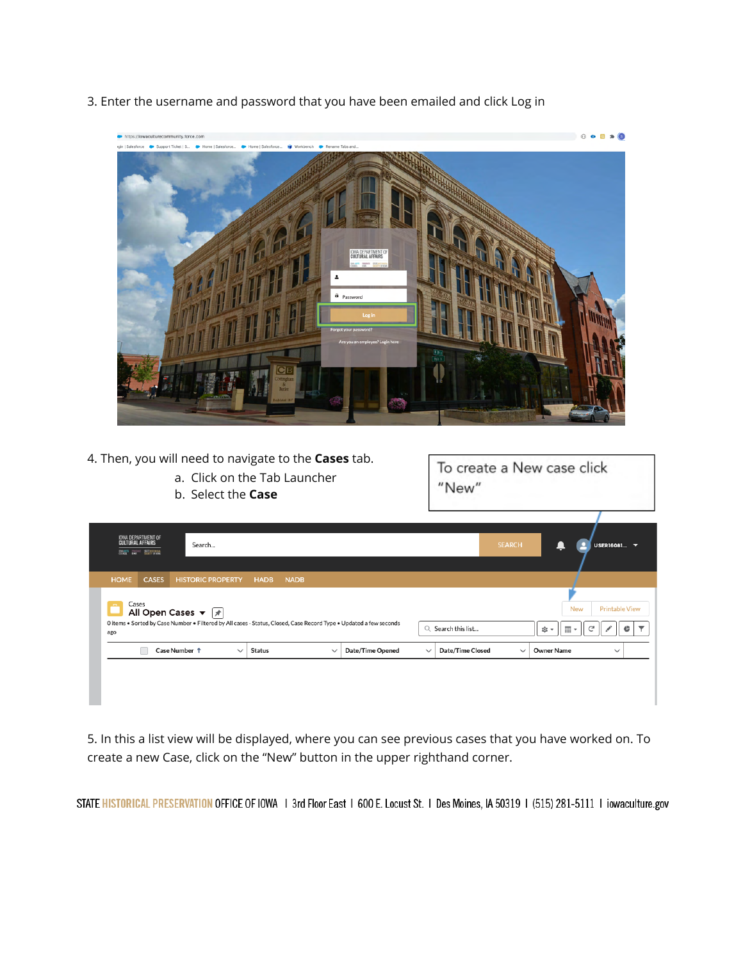

3. Enter the username and password that you have been emailed and click Log in

- 4. Then, you will need to navigate to the **Cases** tab.
	- a. Click on the Tab Launcher
	- b. Select the **Case**

To create a New case click "New"

| IOWA DEPARTMENT OF<br><b>Cultural Affairs</b><br><b>EVALUES</b> FROM SALE RESIDENCE |               | Search                                   |                                                                                                                    |                  |                                         | <b>SEARCH</b> | USER16081 V                                             |
|-------------------------------------------------------------------------------------|---------------|------------------------------------------|--------------------------------------------------------------------------------------------------------------------|------------------|-----------------------------------------|---------------|---------------------------------------------------------|
| <b>HOME</b>                                                                         | <b>CASES</b>  | <b>HISTORIC PROPERTY</b>                 | <b>HADB</b><br><b>NADB</b>                                                                                         |                  |                                         |               |                                                         |
| Cases<br>$\sim$<br>ago                                                              |               | All Open Cases $\mathbf{v}$ $\mathbf{v}$ | O items . Sorted by Case Number . Filtered by All cases - Status, Closed, Case Record Type . Updated a few seconds |                  | Search this list<br>Q                   |               | <b>Printable View</b><br><b>New</b><br>‡য় ≁<br>田,<br>G |
|                                                                                     | Case Number 1 | $\checkmark$                             | <b>Status</b><br>$\checkmark$                                                                                      | Date/Time Opened | <b>Date/Time Closed</b><br>$\checkmark$ | $\checkmark$  | <b>Owner Name</b><br>$\checkmark$                       |
|                                                                                     |               |                                          |                                                                                                                    |                  |                                         |               |                                                         |

5. In this a list view will be displayed, where you can see previous cases that you have worked on. To create a new Case, click on the "New" button in the upper righthand corner.

STATE HISTORICAL PRESERVATION OFFICE OF IOWA | 3rd Floor East | 600 E. Locust St. | Des Moines, IA 50319 | (515) 281-5111 | iowaculture.gov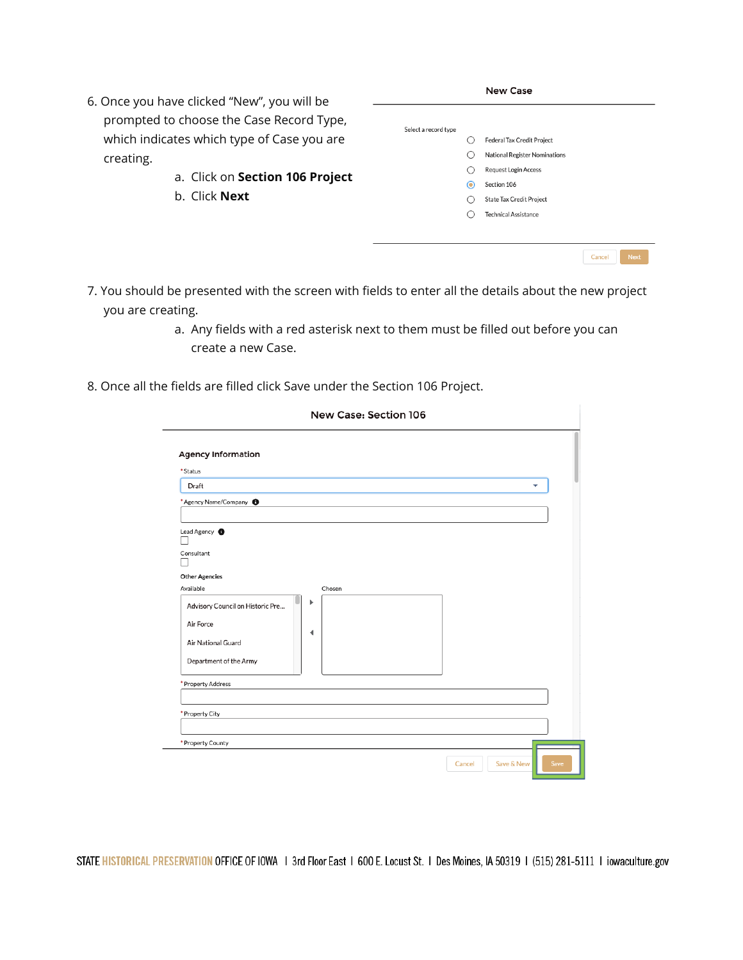- 6. Once you have clicked "New", you will be prompted to choose the Case Record Type, which indicates which type of Case you are creating.
	- a. Click on **Section 106 Project**
	- b. Click **Next**

|                      |     | <b>New Case</b>                 |        |             |  |
|----------------------|-----|---------------------------------|--------|-------------|--|
|                      |     |                                 |        |             |  |
| Select a record type |     |                                 |        |             |  |
|                      | ()  | Federal Tax Credit Project      |        |             |  |
|                      | ( ) | National Register Nominations   |        |             |  |
|                      | ◯   | <b>Request Login Access</b>     |        |             |  |
|                      | ⊙   | Section 106                     |        |             |  |
|                      | ( ) | <b>State Tax Credit Project</b> |        |             |  |
|                      | ∩   | <b>Technical Assistance</b>     |        |             |  |
|                      |     |                                 |        |             |  |
|                      |     |                                 |        |             |  |
|                      |     |                                 | Cancel | <b>Next</b> |  |

- 7. You should be presented with the screen with fields to enter all the details about the new project you are creating.
	- a. Any fields with a red asterisk next to them must be filled out before you can create a new Case.
- 8. Once all the fields are filled click Save under the Section 106 Project.

| New Case: Section 106                                                                                            |                              |
|------------------------------------------------------------------------------------------------------------------|------------------------------|
| <b>Agency Information</b><br>* Status                                                                            |                              |
| Draft                                                                                                            | v                            |
| * Agency Name/Company <sup>6</sup>                                                                               |                              |
| Consultant<br><b>Other Agencies</b><br>Available<br>Chosen<br>Þ<br>Advisory Council on Historic Pre<br>Air Force |                              |
| ◀<br>Air National Guard<br>Department of the Army                                                                |                              |
| * Property Address                                                                                               |                              |
| * Property City<br>* Property County                                                                             |                              |
|                                                                                                                  | Save & New<br>Save<br>Cancel |

STATE HISTORICAL PRESERVATION OFFICE OF IOWA | 3rd Floor East | 600 E. Locust St. | Des Moines, IA 50319 | (515) 281-5111 | iowaculture.gov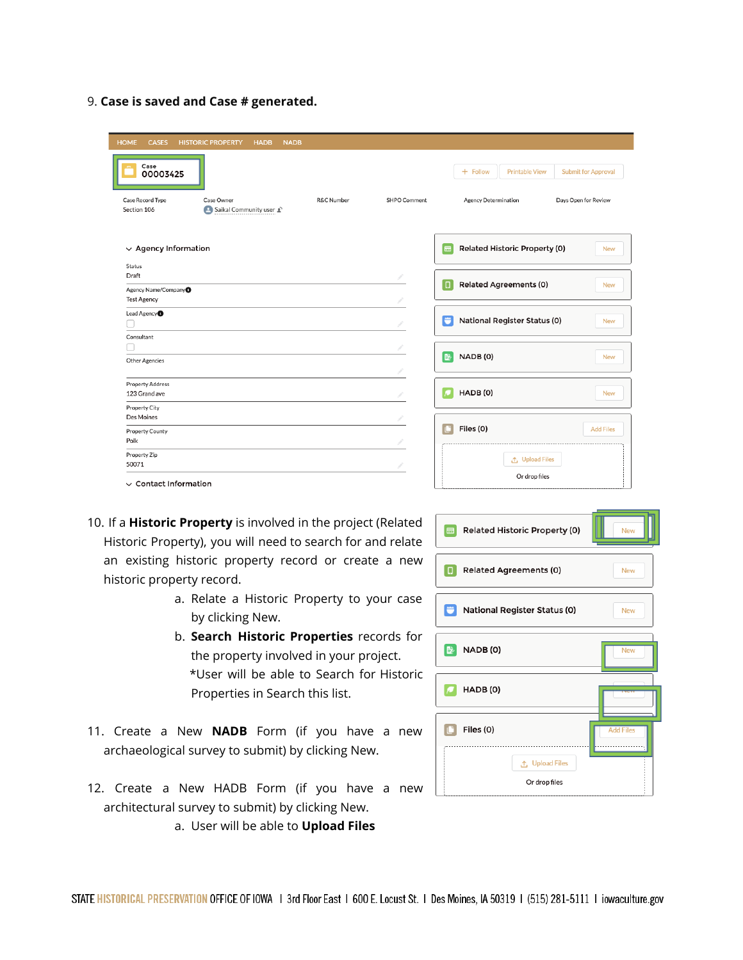9. **Case is saved and Case # generated.**

| <b>HOME</b><br><b>HISTORIC PROPERTY</b><br><b>HADB</b><br><b>NADB</b><br><b>CASES</b> |              |                                                                   |
|---------------------------------------------------------------------------------------|--------------|-------------------------------------------------------------------|
| Case<br>00003425                                                                      |              | <b>Submit for Approval</b><br>$+$ Follow<br><b>Printable View</b> |
| Case Record Type<br>Case Owner<br>R&C Number<br>Section 106<br>Saikal Community user  | SHPO Comment | Agency Determination<br>Days Open for Review                      |
| $\vee$ Agency Information                                                             |              | Related Historic Property (0)<br>⊟<br><b>New</b>                  |
| Status<br>Draft<br>Agency Name/Company                                                |              | <b>Related Agreements (0)</b><br>$\Box$<br><b>New</b>             |
| <b>Test Agency</b><br>Lead Agency <sup>O</sup>                                        |              | <b>National Register Status (0)</b><br><b>New</b>                 |
| Consultant<br>Other Agencies                                                          |              | NADB (0)<br>彫<br><b>New</b>                                       |
| <b>Property Address</b><br>123 Grand ave                                              |              | HADB(0)<br><b>New</b>                                             |
| Property City<br>Des Moines                                                           |              |                                                                   |
| <b>Property County</b><br>Polk                                                        |              | Files (0)<br><b>Add Files</b>                                     |
| Property Zip<br>50071                                                                 |              | <b>① Upload Files</b>                                             |
| $\vee$ Contact Information                                                            |              | Or drop files                                                     |

- 10. If a **Historic Property** is involved in the project (Related Historic Property), you will need to search for and relate an existing historic property record or create a new historic property record.
	- a. Relate a Historic Property to your case by clicking New.
	- b. **Search Historic Properties** records for the property involved in your project. \*User will be able to Search for Historic Properties in Search this list.
- 11. Create a New **NADB** Form (if you have a new archaeological survey to submit) by clicking New.
- 12. Create a New HADB Form (if you have a new architectural survey to submit) by clicking New.
	- a. User will be able to **Upload Files**

| Related Historic Property (0)<br>⊟ | <b>New</b>       |
|------------------------------------|------------------|
| <b>Related Agreements (0)</b><br>Ω | <b>New</b>       |
| National Register Status (0)       | <b>New</b>       |
| NADB(0)<br>暨                       | <b>New</b>       |
| HADB(0)                            |                  |
| Files (0)                          | <b>Add Files</b> |
| ← Upload Files<br>Or drop files    |                  |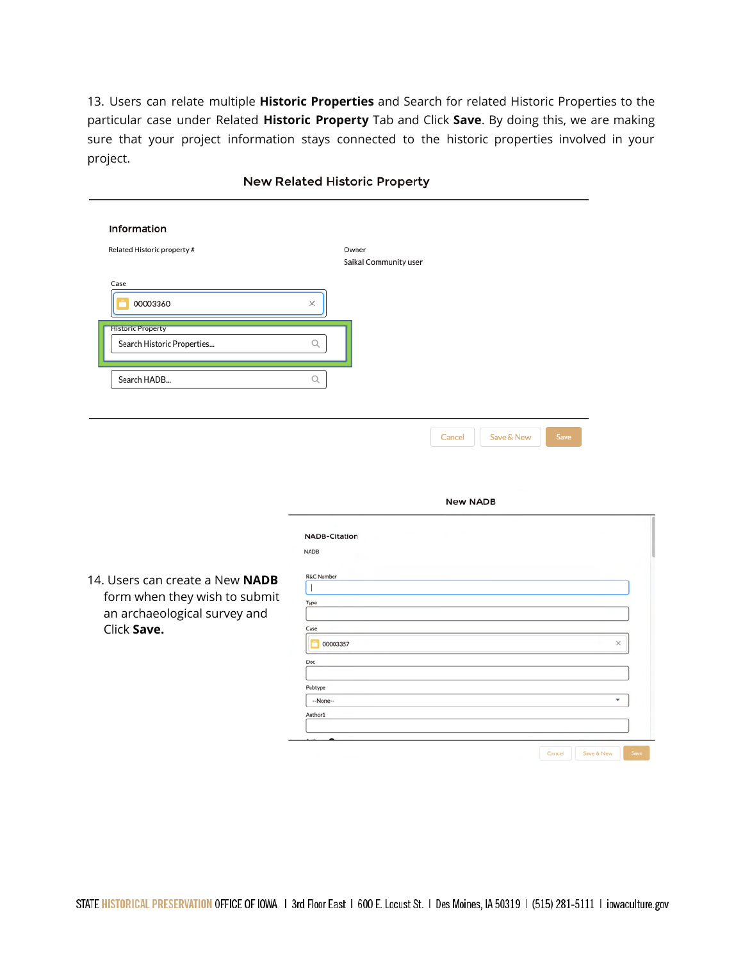13. Users can relate multiple **Historic Properties** and Search for related Historic Properties to the particular case under Related **Historic Property** Tab and Click **Save**. By doing this, we are making sure that your project information stays connected to the historic properties involved in your project.

| Information<br>Related Historic property #                                   |                                | Owner<br>Saikal Community user |                 |            |      |          |  |
|------------------------------------------------------------------------------|--------------------------------|--------------------------------|-----------------|------------|------|----------|--|
| Case<br>00003360                                                             | X                              |                                |                 |            |      |          |  |
| <b>Historic Property</b><br>Search Historic Properties                       | $\mathsf Q$                    |                                |                 |            |      |          |  |
| Search HADB                                                                  | Q                              |                                |                 |            |      |          |  |
|                                                                              |                                |                                | Cancel          | Save & New | Save |          |  |
|                                                                              |                                |                                | <b>New NADB</b> |            |      |          |  |
| 14. Users can create a New NADB                                              | <b>NADB</b><br>R&C Number<br>J | <b>NADB-Citation</b>           |                 |            |      |          |  |
| form when they wish to submit<br>an archaeological survey and<br>Click Save. | Type<br>Case<br>Doc            | 00003357                       |                 |            |      | $\times$ |  |

## **New Related Historic Property**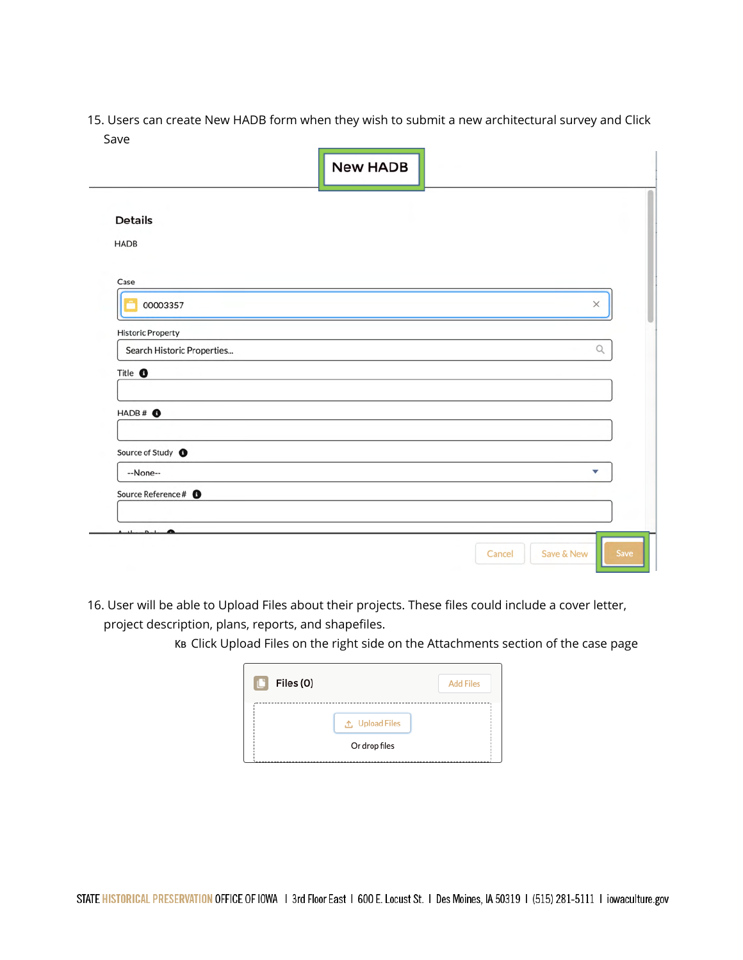15. Users can create New HADB form when they wish to submit a new architectural survey and Click Save

|                                 | <b>New HADB</b>              |
|---------------------------------|------------------------------|
| <b>Details</b>                  |                              |
| <b>HADB</b>                     |                              |
| Case                            |                              |
| 00003357                        | $\times$                     |
| <b>Historic Property</b>        |                              |
| Search Historic Properties      | $\hbox{\large \it Q}$        |
| Title <sup>O</sup>              |                              |
| $HADB#$ $\bullet$               |                              |
| Source of Study <sup>O</sup>    |                              |
| --None--                        | $\overline{\phantom{a}}$     |
| Source Reference # <sup>O</sup> |                              |
| $n_{-1}$                        |                              |
|                                 | Save<br>Save & New<br>Cancel |

16. User will be able to Upload Files about their projects. These files could include a cover letter, project description, plans, reports, and shapefiles.

KB Click Upload Files on the right side on the Attachments section of the case page

| $\mathbf{C}$<br>Files (0) |                       | <b>Add Files</b> |
|---------------------------|-----------------------|------------------|
|                           | <b>↑ Upload Files</b> |                  |
|                           | Or drop files         |                  |